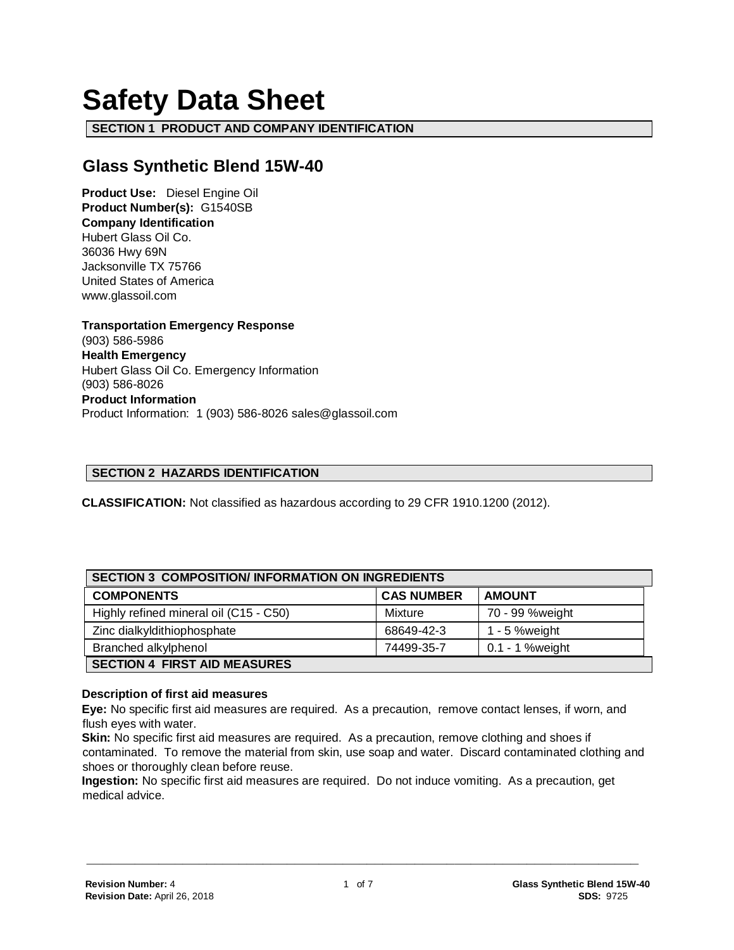# **Safety Data Sheet**

**SECTION 1 PRODUCT AND COMPANY IDENTIFICATION**

# **Glass Synthetic Blend 15W-40**

**Product Use:** Diesel Engine Oil **Product Number(s):** G1540SB **Company Identification** Hubert Glass Oil Co. 36036 Hwy 69N Jacksonville TX 75766 United States of America www.glassoil.com

**Transportation Emergency Response** (903) 586-5986 **Health Emergency** Hubert Glass Oil Co. Emergency Information (903) 586-8026 **Product Information**  Product Information: 1 (903) 586-8026 sales@glassoil.com

#### **SECTION 2 HAZARDS IDENTIFICATION**

**CLASSIFICATION:** Not classified as hazardous according to 29 CFR 1910.1200 (2012).

| <b>SECTION 3 COMPOSITION/INFORMATION ON INGREDIENTS</b> |                   |                 |  |
|---------------------------------------------------------|-------------------|-----------------|--|
| <b>COMPONENTS</b>                                       | <b>CAS NUMBER</b> | <b>AMOUNT</b>   |  |
| Highly refined mineral oil (C15 - C50)                  | Mixture           | 70 - 99 %weight |  |
| Zinc dialkyldithiophosphate                             | 68649-42-3        | 1 - 5 % weight  |  |
| Branched alkylphenol                                    | 74499-35-7        | 0.1 - 1 %weight |  |
| <b>SECTION 4 FIRST AID MEASURES</b>                     |                   |                 |  |

#### **Description of first aid measures**

**Eye:** No specific first aid measures are required. As a precaution, remove contact lenses, if worn, and flush eyes with water.

**Skin:** No specific first aid measures are required. As a precaution, remove clothing and shoes if contaminated. To remove the material from skin, use soap and water. Discard contaminated clothing and shoes or thoroughly clean before reuse.

**Ingestion:** No specific first aid measures are required. Do not induce vomiting. As a precaution, get medical advice.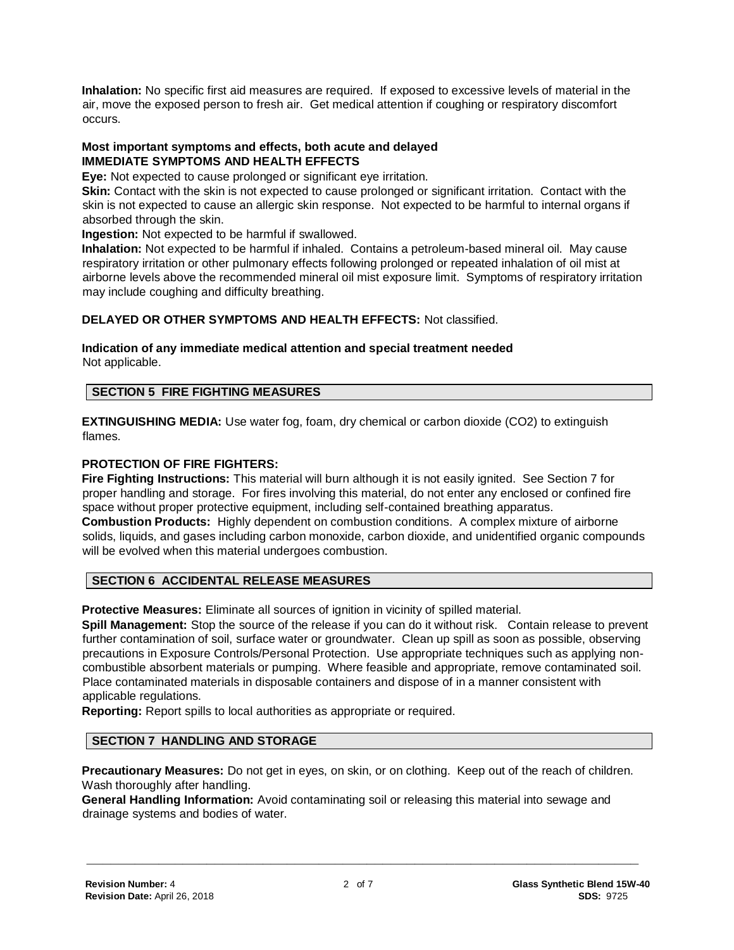**Inhalation:** No specific first aid measures are required. If exposed to excessive levels of material in the air, move the exposed person to fresh air. Get medical attention if coughing or respiratory discomfort occurs.

#### **Most important symptoms and effects, both acute and delayed IMMEDIATE SYMPTOMS AND HEALTH EFFECTS**

**Eye:** Not expected to cause prolonged or significant eye irritation.

**Skin:** Contact with the skin is not expected to cause prolonged or significant irritation. Contact with the skin is not expected to cause an allergic skin response. Not expected to be harmful to internal organs if absorbed through the skin.

**Ingestion:** Not expected to be harmful if swallowed.

**Inhalation:** Not expected to be harmful if inhaled. Contains a petroleum-based mineral oil. May cause respiratory irritation or other pulmonary effects following prolonged or repeated inhalation of oil mist at airborne levels above the recommended mineral oil mist exposure limit. Symptoms of respiratory irritation may include coughing and difficulty breathing.

# **DELAYED OR OTHER SYMPTOMS AND HEALTH EFFECTS:** Not classified.

#### **Indication of any immediate medical attention and special treatment needed**  Not applicable.

# **SECTION 5 FIRE FIGHTING MEASURES**

**EXTINGUISHING MEDIA:** Use water fog, foam, dry chemical or carbon dioxide (CO2) to extinguish flames.

#### **PROTECTION OF FIRE FIGHTERS:**

**Fire Fighting Instructions:** This material will burn although it is not easily ignited. See Section 7 for proper handling and storage. For fires involving this material, do not enter any enclosed or confined fire space without proper protective equipment, including self-contained breathing apparatus. **Combustion Products:** Highly dependent on combustion conditions. A complex mixture of airborne solids, liquids, and gases including carbon monoxide, carbon dioxide, and unidentified organic compounds will be evolved when this material undergoes combustion.

# **SECTION 6 ACCIDENTAL RELEASE MEASURES**

**Protective Measures:** Eliminate all sources of ignition in vicinity of spilled material.

**Spill Management:** Stop the source of the release if you can do it without risk. Contain release to prevent further contamination of soil, surface water or groundwater. Clean up spill as soon as possible, observing precautions in Exposure Controls/Personal Protection. Use appropriate techniques such as applying noncombustible absorbent materials or pumping. Where feasible and appropriate, remove contaminated soil. Place contaminated materials in disposable containers and dispose of in a manner consistent with applicable regulations.

**Reporting:** Report spills to local authorities as appropriate or required.

### **SECTION 7 HANDLING AND STORAGE**

**Precautionary Measures:** Do not get in eyes, on skin, or on clothing. Keep out of the reach of children. Wash thoroughly after handling.

**General Handling Information:** Avoid contaminating soil or releasing this material into sewage and drainage systems and bodies of water.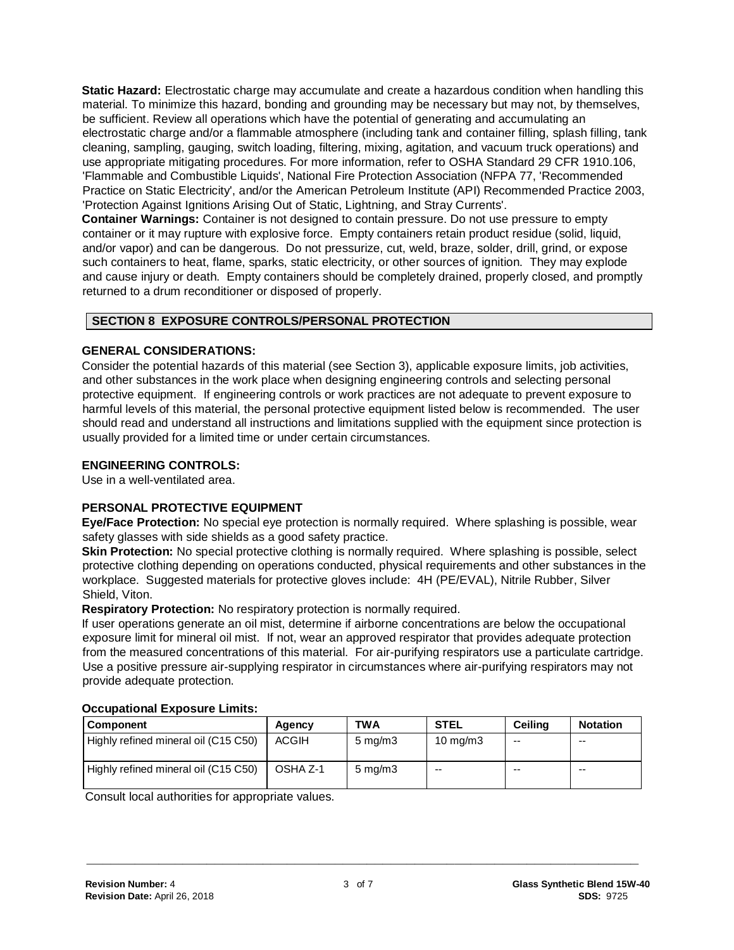**Static Hazard:** Electrostatic charge may accumulate and create a hazardous condition when handling this material. To minimize this hazard, bonding and grounding may be necessary but may not, by themselves, be sufficient. Review all operations which have the potential of generating and accumulating an electrostatic charge and/or a flammable atmosphere (including tank and container filling, splash filling, tank cleaning, sampling, gauging, switch loading, filtering, mixing, agitation, and vacuum truck operations) and use appropriate mitigating procedures. For more information, refer to OSHA Standard 29 CFR 1910.106, 'Flammable and Combustible Liquids', National Fire Protection Association (NFPA 77, 'Recommended Practice on Static Electricity', and/or the American Petroleum Institute (API) Recommended Practice 2003, 'Protection Against Ignitions Arising Out of Static, Lightning, and Stray Currents'.

**Container Warnings:** Container is not designed to contain pressure. Do not use pressure to empty container or it may rupture with explosive force. Empty containers retain product residue (solid, liquid, and/or vapor) and can be dangerous. Do not pressurize, cut, weld, braze, solder, drill, grind, or expose such containers to heat, flame, sparks, static electricity, or other sources of ignition. They may explode and cause injury or death. Empty containers should be completely drained, properly closed, and promptly returned to a drum reconditioner or disposed of properly.

# **SECTION 8 EXPOSURE CONTROLS/PERSONAL PROTECTION**

# **GENERAL CONSIDERATIONS:**

Consider the potential hazards of this material (see Section 3), applicable exposure limits, job activities, and other substances in the work place when designing engineering controls and selecting personal protective equipment. If engineering controls or work practices are not adequate to prevent exposure to harmful levels of this material, the personal protective equipment listed below is recommended. The user should read and understand all instructions and limitations supplied with the equipment since protection is usually provided for a limited time or under certain circumstances.

# **ENGINEERING CONTROLS:**

Use in a well-ventilated area.

# **PERSONAL PROTECTIVE EQUIPMENT**

**Eye/Face Protection:** No special eye protection is normally required. Where splashing is possible, wear safety glasses with side shields as a good safety practice.

**Skin Protection:** No special protective clothing is normally required. Where splashing is possible, select protective clothing depending on operations conducted, physical requirements and other substances in the workplace. Suggested materials for protective gloves include: 4H (PE/EVAL), Nitrile Rubber, Silver Shield, Viton.

**Respiratory Protection:** No respiratory protection is normally required.

If user operations generate an oil mist, determine if airborne concentrations are below the occupational exposure limit for mineral oil mist. If not, wear an approved respirator that provides adequate protection from the measured concentrations of this material. For air-purifying respirators use a particulate cartridge. Use a positive pressure air-supplying respirator in circumstances where air-purifying respirators may not provide adequate protection.

| ooogpanonar Expoogro Emmor           |          |                    |                   |         |                 |
|--------------------------------------|----------|--------------------|-------------------|---------|-----------------|
| <b>Component</b>                     | Agency   | TWA                | <b>STEL</b>       | Ceilina | <b>Notation</b> |
| Highly refined mineral oil (C15 C50) | ACGIH    | $5 \text{ mg/m}$ 3 | $10 \text{ mg/m}$ | $-$     | $- -$           |
| Highly refined mineral oil (C15 C50) | OSHA Z-1 | $5 \text{ mg/m}$ 3 | $- -$             | $- -$   | $- -$           |

#### **Occupational Exposure Limits:**

Consult local authorities for appropriate values.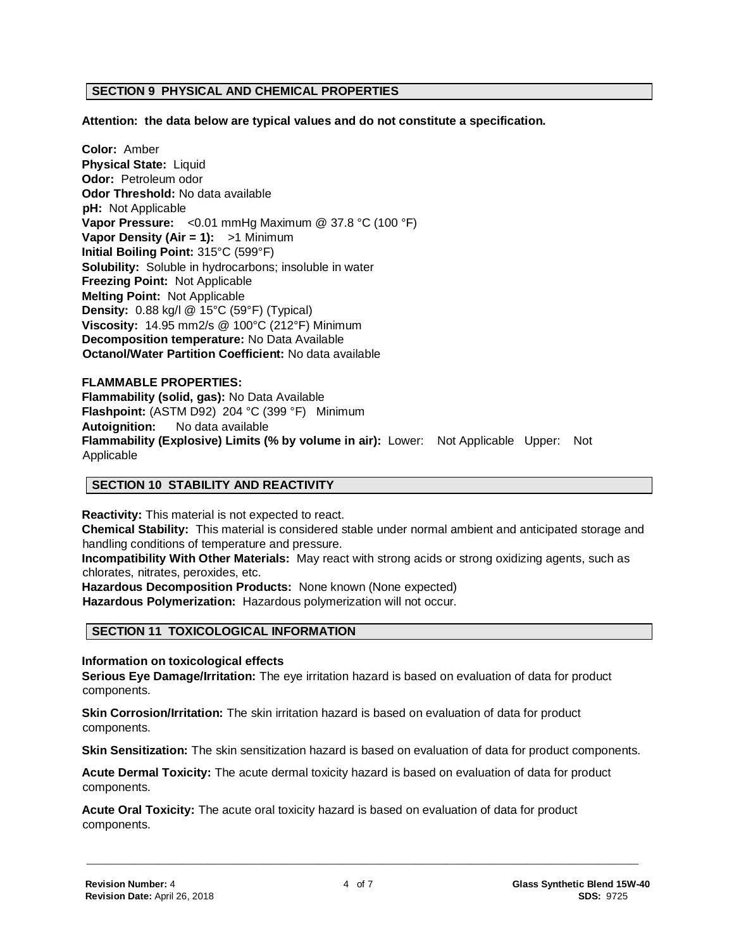#### **SECTION 9 PHYSICAL AND CHEMICAL PROPERTIES**

**Attention: the data below are typical values and do not constitute a specification.**

**Color:** Amber **Physical State:** Liquid **Odor:** Petroleum odor **Odor Threshold:** No data available **pH:** Not Applicable **Vapor Pressure:** <0.01 mmHg Maximum @ 37.8 °C (100 °F) **Vapor Density (Air = 1):** >1 Minimum **Initial Boiling Point:** 315°C (599°F) **Solubility:** Soluble in hydrocarbons; insoluble in water **Freezing Point:** Not Applicable **Melting Point:** Not Applicable **Density:** 0.88 kg/l @ 15°C (59°F) (Typical) **Viscosity:** 14.95 mm2/s @ 100°C (212°F) Minimum **Decomposition temperature:** No Data Available **Octanol/Water Partition Coefficient:** No data available

## **FLAMMABLE PROPERTIES: Flammability (solid, gas):** No Data Available **Flashpoint:** (ASTM D92) 204 °C (399 °F) Minimum **Autoignition:** No data available **Flammability (Explosive) Limits (% by volume in air):** Lower: Not Applicable Upper: Not Applicable

#### **SECTION 10 STABILITY AND REACTIVITY**

**Reactivity:** This material is not expected to react. **Chemical Stability:** This material is considered stable under normal ambient and anticipated storage and handling conditions of temperature and pressure.

**Incompatibility With Other Materials:** May react with strong acids or strong oxidizing agents, such as chlorates, nitrates, peroxides, etc.

**Hazardous Decomposition Products:** None known (None expected)

**Hazardous Polymerization:** Hazardous polymerization will not occur.

#### **SECTION 11 TOXICOLOGICAL INFORMATION**

**Information on toxicological effects**

**Serious Eye Damage/Irritation:** The eye irritation hazard is based on evaluation of data for product components.

**Skin Corrosion/Irritation:** The skin irritation hazard is based on evaluation of data for product components.

**Skin Sensitization:** The skin sensitization hazard is based on evaluation of data for product components.

**Acute Dermal Toxicity:** The acute dermal toxicity hazard is based on evaluation of data for product components.

**Acute Oral Toxicity:** The acute oral toxicity hazard is based on evaluation of data for product components.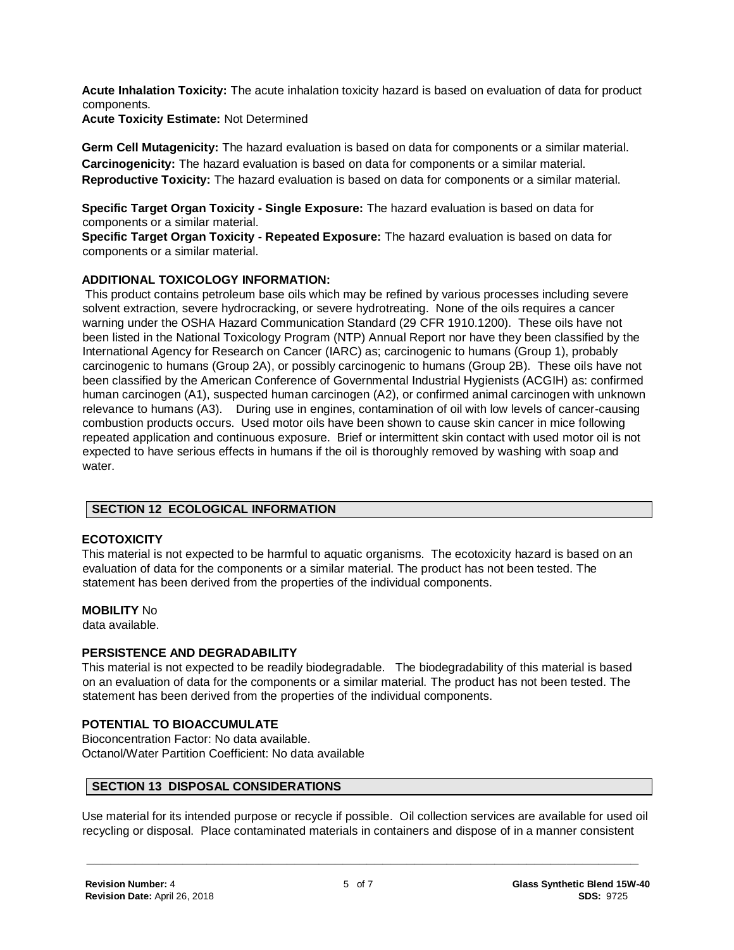**Acute Inhalation Toxicity:** The acute inhalation toxicity hazard is based on evaluation of data for product components.

**Acute Toxicity Estimate:** Not Determined

**Germ Cell Mutagenicity:** The hazard evaluation is based on data for components or a similar material. **Carcinogenicity:** The hazard evaluation is based on data for components or a similar material. **Reproductive Toxicity:** The hazard evaluation is based on data for components or a similar material.

**Specific Target Organ Toxicity - Single Exposure:** The hazard evaluation is based on data for components or a similar material.

**Specific Target Organ Toxicity - Repeated Exposure:** The hazard evaluation is based on data for components or a similar material.

# **ADDITIONAL TOXICOLOGY INFORMATION:**

This product contains petroleum base oils which may be refined by various processes including severe solvent extraction, severe hydrocracking, or severe hydrotreating. None of the oils requires a cancer warning under the OSHA Hazard Communication Standard (29 CFR 1910.1200). These oils have not been listed in the National Toxicology Program (NTP) Annual Report nor have they been classified by the International Agency for Research on Cancer (IARC) as; carcinogenic to humans (Group 1), probably carcinogenic to humans (Group 2A), or possibly carcinogenic to humans (Group 2B). These oils have not been classified by the American Conference of Governmental Industrial Hygienists (ACGIH) as: confirmed human carcinogen (A1), suspected human carcinogen (A2), or confirmed animal carcinogen with unknown relevance to humans (A3). During use in engines, contamination of oil with low levels of cancer-causing combustion products occurs. Used motor oils have been shown to cause skin cancer in mice following repeated application and continuous exposure. Brief or intermittent skin contact with used motor oil is not expected to have serious effects in humans if the oil is thoroughly removed by washing with soap and water.

# **SECTION 12 ECOLOGICAL INFORMATION**

# **ECOTOXICITY**

This material is not expected to be harmful to aquatic organisms. The ecotoxicity hazard is based on an evaluation of data for the components or a similar material. The product has not been tested. The statement has been derived from the properties of the individual components.

# **MOBILITY** No

data available.

# **PERSISTENCE AND DEGRADABILITY**

This material is not expected to be readily biodegradable. The biodegradability of this material is based on an evaluation of data for the components or a similar material. The product has not been tested. The statement has been derived from the properties of the individual components.

# **POTENTIAL TO BIOACCUMULATE**

Bioconcentration Factor: No data available. Octanol/Water Partition Coefficient: No data available

# **SECTION 13 DISPOSAL CONSIDERATIONS**

Use material for its intended purpose or recycle if possible. Oil collection services are available for used oil recycling or disposal. Place contaminated materials in containers and dispose of in a manner consistent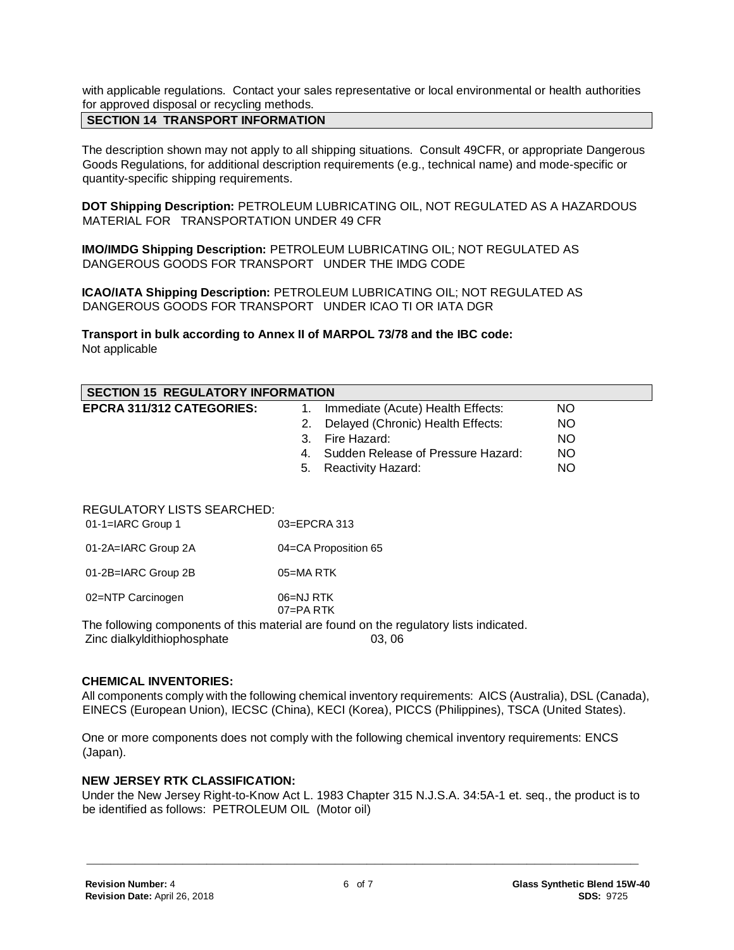with applicable regulations. Contact your sales representative or local environmental or health authorities for approved disposal or recycling methods.

# **SECTION 14 TRANSPORT INFORMATION**

The description shown may not apply to all shipping situations. Consult 49CFR, or appropriate Dangerous Goods Regulations, for additional description requirements (e.g., technical name) and mode-specific or quantity-specific shipping requirements.

**DOT Shipping Description:** PETROLEUM LUBRICATING OIL, NOT REGULATED AS A HAZARDOUS MATERIAL FOR TRANSPORTATION UNDER 49 CFR

**IMO/IMDG Shipping Description:** PETROLEUM LUBRICATING OIL; NOT REGULATED AS DANGEROUS GOODS FOR TRANSPORT UNDER THE IMDG CODE

**ICAO/IATA Shipping Description:** PETROLEUM LUBRICATING OIL; NOT REGULATED AS DANGEROUS GOODS FOR TRANSPORT UNDER ICAO TI OR IATA DGR

**Transport in bulk according to Annex II of MARPOL 73/78 and the IBC code:** Not applicable

| <b>SECTION 15 REGULATORY INFORMATION</b>                 |                  |                                       |           |  |
|----------------------------------------------------------|------------------|---------------------------------------|-----------|--|
| <b>EPCRA 311/312 CATEGORIES:</b>                         |                  | Immediate (Acute) Health Effects:     | NO.       |  |
|                                                          | 2.               | Delayed (Chronic) Health Effects:     | <b>NO</b> |  |
|                                                          | 3.               | Fire Hazard:                          | <b>NO</b> |  |
|                                                          |                  | 4. Sudden Release of Pressure Hazard: | <b>NO</b> |  |
|                                                          | 5.               | Reactivity Hazard:                    | <b>NO</b> |  |
| <b>REGULATORY LISTS SEARCHED:</b><br>$01-1=IARC$ Group 1 | $03 = EPCRA$ 313 |                                       |           |  |
|                                                          |                  |                                       |           |  |

| 01-2A=IARC Group 2A | 04=CA Proposition 65 |  |  |
|---------------------|----------------------|--|--|
|                     |                      |  |  |

01-2B=IARC Group 2B 05=MA RTK

02=NTP Carcinogen 06=NJ RTK

07=PA RTK

The following components of this material are found on the regulatory lists indicated.

Zinc dialkyldithiophosphate 03, 06

#### **CHEMICAL INVENTORIES:**

All components comply with the following chemical inventory requirements: AICS (Australia), DSL (Canada), EINECS (European Union), IECSC (China), KECI (Korea), PICCS (Philippines), TSCA (United States).

One or more components does not comply with the following chemical inventory requirements: ENCS (Japan).

#### **NEW JERSEY RTK CLASSIFICATION:**

Under the New Jersey Right-to-Know Act L. 1983 Chapter 315 N.J.S.A. 34:5A-1 et. seq., the product is to be identified as follows: PETROLEUM OIL (Motor oil)